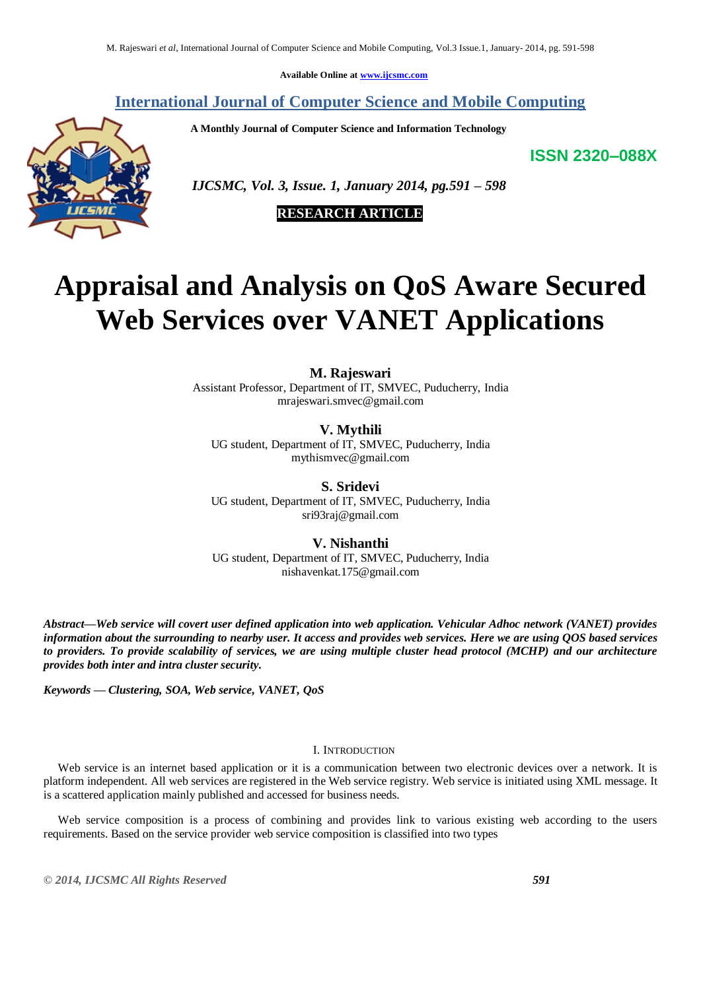**Available Online at [www.ijcsmc.com](http://www.ijcsmc.com/)**

**International Journal of Computer Science and Mobile Computing**

 **A Monthly Journal of Computer Science and Information Technology**

**ISSN 2320–088X**



 *IJCSMC, Vol. 3, Issue. 1, January 2014, pg.591 – 598*

 **RESEARCH ARTICLE**

# **Appraisal and Analysis on QoS Aware Secured Web Services over VANET Applications**

# **M. Rajeswari**

Assistant Professor, Department of IT, SMVEC, Puducherry, India mrajeswari.smvec@gmail.com

**V. Mythili**

UG student, Department of IT, SMVEC, Puducherry, India mythismvec@gmail.com

**S. Sridevi** UG student, Department of IT, SMVEC, Puducherry, India [sri93raj@gmail.com](mailto:sri93raj@gmail.com)

# **V. Nishanthi**

UG student, Department of IT, SMVEC, Puducherry, India nishavenkat.175@gmail.com

*Abstract—Web service will covert user defined application into web application. Vehicular Adhoc network (VANET) provides information about the surrounding to nearby user. It access and provides web services. Here we are using QOS based services to providers. To provide scalability of services, we are using multiple cluster head protocol (MCHP) and our architecture provides both inter and intra cluster security.*

*Keywords — Clustering, SOA, Web service, VANET, QoS*

# I. INTRODUCTION

Web service is an internet based application or it is a communication between two electronic devices over a network. It is platform independent. All web services are registered in the Web service registry. Web service is initiated using XML message. It is a scattered application mainly published and accessed for business needs.

Web service composition is a process of combining and provides link to various existing web according to the users requirements. Based on the service provider web service composition is classified into two types

*© 2014, IJCSMC All Rights Reserved 591*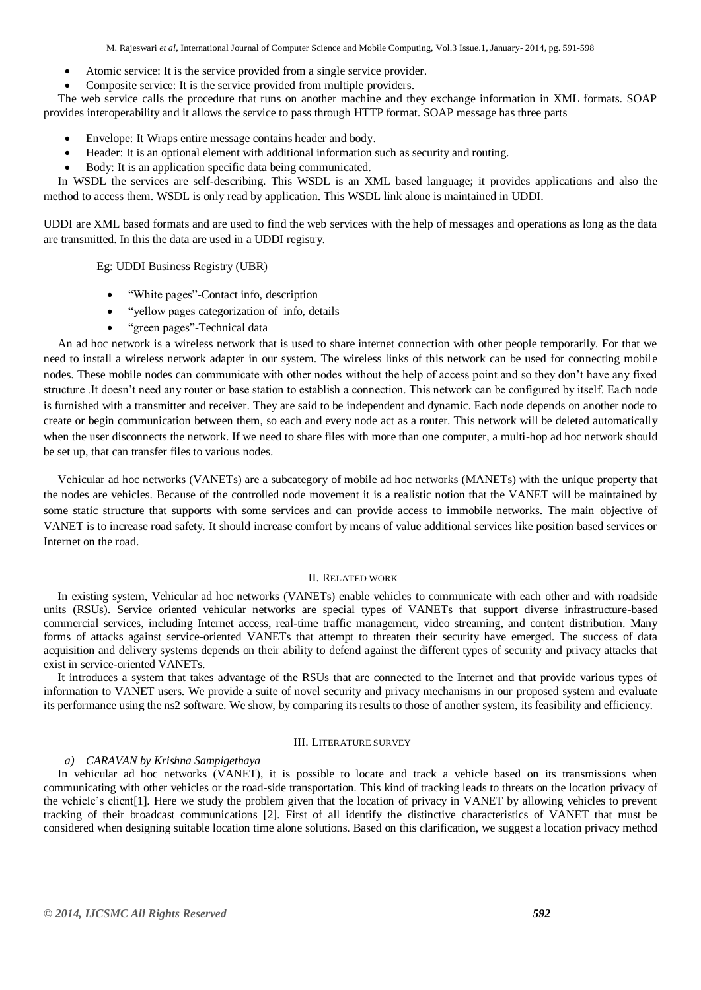M. Rajeswari *et al*, International Journal of Computer Science and Mobile Computing, Vol.3 Issue.1, January- 2014, pg. 591-598

- Atomic service: It is the service provided from a single service provider.
- Composite service: It is the service provided from multiple providers.

 The web service calls the procedure that runs on another machine and they exchange information in XML formats. SOAP provides interoperability and it allows the service to pass through HTTP format. SOAP message has three parts

- Envelope: It Wraps entire message contains header and body.
- Header: It is an optional element with additional information such as security and routing.
- Body: It is an application specific data being communicated.

 In WSDL the services are self-describing. This WSDL is an XML based language; it provides applications and also the method to access them. WSDL is only read by application. This WSDL link alone is maintained in UDDI.

UDDI are XML based formats and are used to find the web services with the help of messages and operations as long as the data are transmitted. In this the data are used in a UDDI registry.

Eg: UDDI Business Registry (UBR)

- ―White pages‖-Contact info, description
- ―yellow pages categorization of info, details
- "green pages"-Technical data

 An ad hoc network is a wireless network that is used to share internet connection with other people temporarily. For that we need to install a wireless network adapter in our system. The wireless links of this network can be used for connecting mobile nodes. These mobile nodes can communicate with other nodes without the help of access point and so they don't have any fixed structure .It doesn't need any router or base station to establish a connection. This network can be configured by itself. Each node is furnished with a transmitter and receiver. They are said to be independent and dynamic. Each node depends on another node to create or begin communication between them, so each and every node act as a router. This network will be deleted automatically when the user disconnects the network. If we need to share files with more than one computer, a multi-hop ad hoc network should be set up, that can transfer files to various nodes.

 Vehicular ad hoc networks (VANETs) are a subcategory of mobile ad hoc networks (MANETs) with the unique property that the nodes are vehicles. Because of the controlled node movement it is a realistic notion that the VANET will be maintained by some static structure that supports with some services and can provide access to immobile networks. The main objective of VANET is to increase road safety. It should increase comfort by means of value additional services like position based services or Internet on the road.

## II. RELATED WORK

 In existing system, Vehicular ad hoc networks (VANETs) enable vehicles to communicate with each other and with roadside units (RSUs). Service oriented vehicular networks are special types of VANETs that support diverse infrastructure-based commercial services, including Internet access, real-time traffic management, video streaming, and content distribution. Many forms of attacks against service-oriented VANETs that attempt to threaten their security have emerged. The success of data acquisition and delivery systems depends on their ability to defend against the different types of security and privacy attacks that exist in service-oriented VANETs.

 It introduces a system that takes advantage of the RSUs that are connected to the Internet and that provide various types of information to VANET users. We provide a suite of novel security and privacy mechanisms in our proposed system and evaluate its performance using the ns2 software. We show, by comparing its results to those of another system, its feasibility and efficiency.

## III. LITERATURE SURVEY

#### *a) CARAVAN by Krishna Sampigethaya*

In vehicular ad hoc networks (VANET), it is possible to locate and track a vehicle based on its transmissions when communicating with other vehicles or the road-side transportation. This kind of tracking leads to threats on the location privacy of the vehicle's client[1]. Here we study the problem given that the location of privacy in VANET by allowing vehicles to prevent tracking of their broadcast communications [2]. First of all identify the distinctive characteristics of VANET that must be considered when designing suitable location time alone solutions. Based on this clarification, we suggest a location privacy method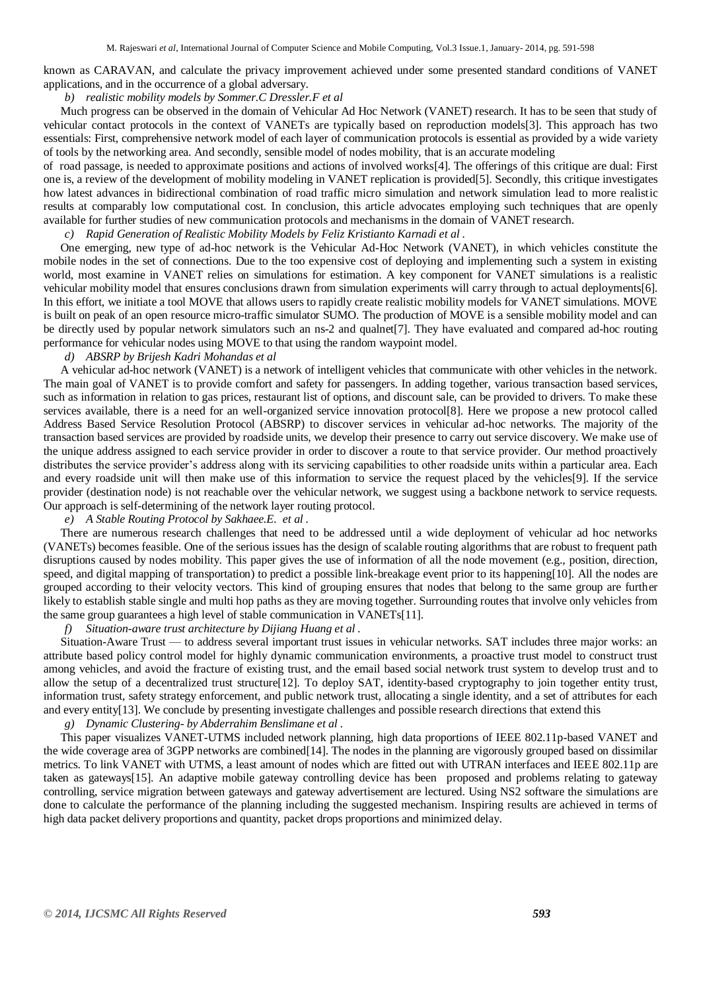known as CARAVAN, and calculate the privacy improvement achieved under some presented standard conditions of VANET applications, and in the occurrence of a global adversary.

# *b) realistic mobility models by Sommer.C Dressler.F et al*

Much progress can be observed in the domain of Vehicular Ad Hoc Network (VANET) research. It has to be seen that study of vehicular contact protocols in the context of VANETs are typically based on reproduction models[3]. This approach has two essentials: First, comprehensive network model of each layer of communication protocols is essential as provided by a wide variety of tools by the networking area. And secondly, sensible model of nodes mobility, that is an accurate modeling

of road passage, is needed to approximate positions and actions of involved works[4]. The offerings of this critique are dual: First one is, a review of the development of mobility modeling in VANET replication is provided[5]. Secondly, this critique investigates how latest advances in bidirectional combination of road traffic micro simulation and network simulation lead to more realistic results at comparably low computational cost. In conclusion, this article advocates employing such techniques that are openly available for further studies of new communication protocols and mechanisms in the domain of VANET research.

*c) Rapid Generation of Realistic Mobility Models by Feliz Kristianto Karnadi et al .* 

One emerging, new type of ad-hoc network is the Vehicular Ad-Hoc Network (VANET), in which vehicles constitute the mobile nodes in the set of connections. Due to the too expensive cost of deploying and implementing such a system in existing world, most examine in VANET relies on simulations for estimation. A key component for VANET simulations is a realistic vehicular mobility model that ensures conclusions drawn from simulation experiments will carry through to actual deployments[6]. In this effort, we initiate a tool MOVE that allows users to rapidly create realistic mobility models for VANET simulations. MOVE is built on peak of an open resource micro-traffic simulator SUMO. The production of MOVE is a sensible mobility model and can be directly used by popular network simulators such an ns-2 and qualnet[7]. They have evaluated and compared ad-hoc routing performance for vehicular nodes using MOVE to that using the random waypoint model.

# *d) ABSRP by Brijesh Kadri Mohandas et al*

A vehicular ad-hoc network (VANET) is a network of intelligent vehicles that communicate with other vehicles in the network. The main goal of VANET is to provide comfort and safety for passengers. In adding together, various transaction based services, such as information in relation to gas prices, restaurant list of options, and discount sale, can be provided to drivers. To make these services available, there is a need for an well-organized service innovation protocol[8]. Here we propose a new protocol called Address Based Service Resolution Protocol (ABSRP) to discover services in vehicular ad-hoc networks. The majority of the transaction based services are provided by roadside units, we develop their presence to carry out service discovery. We make use of the unique address assigned to each service provider in order to discover a route to that service provider. Our method proactively distributes the service provider's address along with its servicing capabilities to other roadside units within a particular area. Each and every roadside unit will then make use of this information to service the request placed by the vehicles[9]. If the service provider (destination node) is not reachable over the vehicular network, we suggest using a backbone network to service requests. Our approach is self-determining of the network layer routing protocol.

## *e) A Stable Routing Protocol by Sakhaee.E. et al .*

There are numerous research challenges that need to be addressed until a wide deployment of vehicular ad hoc networks (VANETs) becomes feasible. One of the serious issues has the design of scalable routing algorithms that are robust to frequent path disruptions caused by nodes mobility. This paper gives the use of information of all the node movement (e.g., position, direction, speed, and digital mapping of transportation) to predict a possible link-breakage event prior to its happening[10]. All the nodes are grouped according to their velocity vectors. This kind of grouping ensures that nodes that belong to the same group are further likely to establish stable single and multi hop paths as they are moving together. Surrounding routes that involve only vehicles from the same group guarantees a high level of stable communication in VANETs[11].

#### *f) Situation-aware trust architecture by Dijiang Huang et al .*

Situation-Aware Trust — to address several important trust issues in vehicular networks. SAT includes three major works: an attribute based policy control model for highly dynamic communication environments, a proactive trust model to construct trust among vehicles, and avoid the fracture of existing trust, and the email based social network trust system to develop trust and to allow the setup of a decentralized trust structure[12]. To deploy SAT, identity-based cryptography to join together entity trust, information trust, safety strategy enforcement, and public network trust, allocating a single identity, and a set of attributes for each and every entity[13]. We conclude by presenting investigate challenges and possible research directions that extend this

# *g) Dynamic Clustering- by Abderrahim Benslimane et al .*

This paper visualizes VANET-UTMS included network planning, high data proportions of IEEE 802.11p-based VANET and the wide coverage area of 3GPP networks are combined[14]. The nodes in the planning are vigorously grouped based on dissimilar metrics. To link VANET with UTMS, a least amount of nodes which are fitted out with UTRAN interfaces and IEEE 802.11p are taken as gateways[15]. An adaptive mobile gateway controlling device has been proposed and problems relating to gateway controlling, service migration between gateways and gateway advertisement are lectured. Using NS2 software the simulations are done to calculate the performance of the planning including the suggested mechanism. Inspiring results are achieved in terms of high data packet delivery proportions and quantity, packet drops proportions and minimized delay.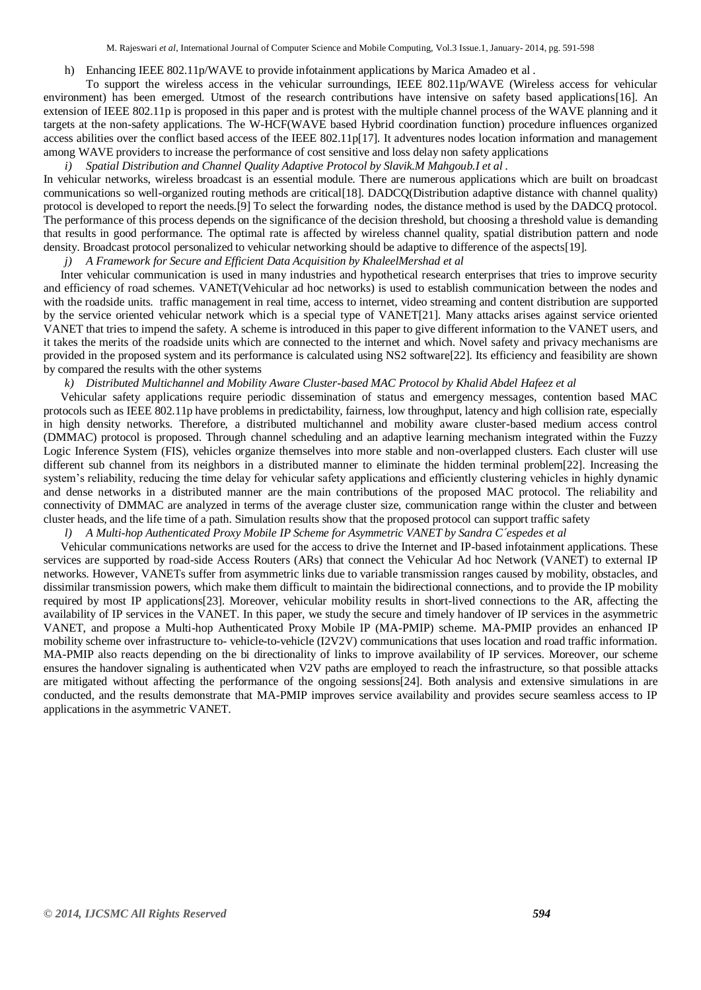## h) Enhancing IEEE 802.11p/WAVE to provide infotainment applications by Marica Amadeo et al.

To support the wireless access in the vehicular surroundings, IEEE 802.11p/WAVE (Wireless access for vehicular environment) has been emerged. Utmost of the research contributions have intensive on safety based applications[16]. An extension of IEEE 802.11p is proposed in this paper and is protest with the multiple channel process of the WAVE planning and it targets at the non-safety applications. The W-HCF(WAVE based Hybrid coordination function) procedure influences organized access abilities over the conflict based access of the IEEE 802.11p[17]. It adventures nodes location information and management among WAVE providers to increase the performance of cost sensitive and loss delay non safety applications

*i) Spatial Distribution and Channel Quality Adaptive Protocol by Slavik.M Mahgoub.I et al .*

In vehicular networks, wireless broadcast is an essential module. There are numerous applications which are built on broadcast communications so well-organized routing methods are critical[18]. DADCQ(Distribution adaptive distance with channel quality) protocol is developed to report the needs.[9] To select the forwarding nodes, the distance method is used by the DADCQ protocol. The performance of this process depends on the significance of the decision threshold, but choosing a threshold value is demanding that results in good performance. The optimal rate is affected by wireless channel quality, spatial distribution pattern and node density. Broadcast protocol personalized to vehicular networking should be adaptive to difference of the aspects[19].

*j) A Framework for Secure and Efficient Data Acquisition by KhaleelMershad et al* 

Inter vehicular communication is used in many industries and hypothetical research enterprises that tries to improve security and efficiency of road schemes. VANET(Vehicular ad hoc networks) is used to establish communication between the nodes and with the roadside units. traffic management in real time, access to internet, video streaming and content distribution are supported by the service oriented vehicular network which is a special type of VANET[21]. Many attacks arises against service oriented VANET that tries to impend the safety. A scheme is introduced in this paper to give different information to the VANET users, and it takes the merits of the roadside units which are connected to the internet and which. Novel safety and privacy mechanisms are provided in the proposed system and its performance is calculated using NS2 software[22]. Its efficiency and feasibility are shown by compared the results with the other systems

*k) Distributed Multichannel and Mobility Aware Cluster-based MAC Protocol by Khalid Abdel Hafeez et al* 

Vehicular safety applications require periodic dissemination of status and emergency messages, contention based MAC protocols such as IEEE 802.11p have problems in predictability, fairness, low throughput, latency and high collision rate, especially in high density networks. Therefore, a distributed multichannel and mobility aware cluster-based medium access control (DMMAC) protocol is proposed. Through channel scheduling and an adaptive learning mechanism integrated within the Fuzzy Logic Inference System (FIS), vehicles organize themselves into more stable and non-overlapped clusters. Each cluster will use different sub channel from its neighbors in a distributed manner to eliminate the hidden terminal problem[22]. Increasing the system's reliability, reducing the time delay for vehicular safety applications and efficiently clustering vehicles in highly dynamic and dense networks in a distributed manner are the main contributions of the proposed MAC protocol. The reliability and connectivity of DMMAC are analyzed in terms of the average cluster size, communication range within the cluster and between cluster heads, and the life time of a path. Simulation results show that the proposed protocol can support traffic safety

# *l) A Multi-hop Authenticated Proxy Mobile IP Scheme for Asymmetric VANET by Sandra C´espedes et al*

Vehicular communications networks are used for the access to drive the Internet and IP-based infotainment applications. These services are supported by road-side Access Routers (ARs) that connect the Vehicular Ad hoc Network (VANET) to external IP networks. However, VANETs suffer from asymmetric links due to variable transmission ranges caused by mobility, obstacles, and dissimilar transmission powers, which make them difficult to maintain the bidirectional connections, and to provide the IP mobility required by most IP applications[23]. Moreover, vehicular mobility results in short-lived connections to the AR, affecting the availability of IP services in the VANET. In this paper, we study the secure and timely handover of IP services in the asymmetric VANET, and propose a Multi-hop Authenticated Proxy Mobile IP (MA-PMIP) scheme. MA-PMIP provides an enhanced IP mobility scheme over infrastructure to- vehicle-to-vehicle (I2V2V) communications that uses location and road traffic information. MA-PMIP also reacts depending on the bi directionality of links to improve availability of IP services. Moreover, our scheme ensures the handover signaling is authenticated when V2V paths are employed to reach the infrastructure, so that possible attacks are mitigated without affecting the performance of the ongoing sessions[24]. Both analysis and extensive simulations in are conducted, and the results demonstrate that MA-PMIP improves service availability and provides secure seamless access to IP applications in the asymmetric VANET.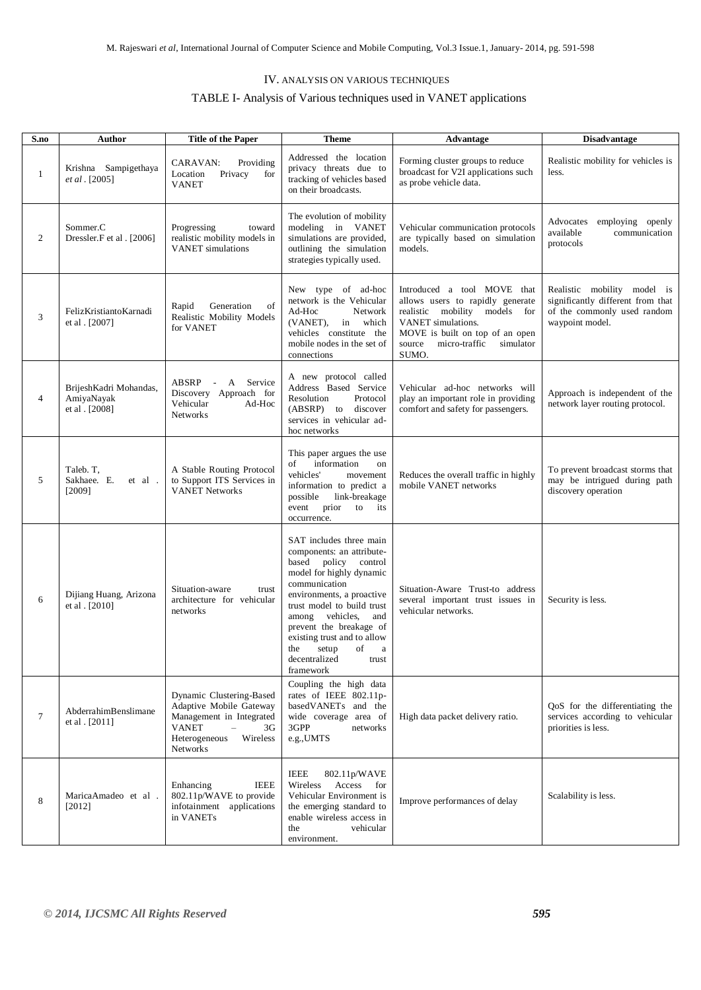# IV. ANALYSIS ON VARIOUS TECHNIQUES

# TABLE I- Analysis of Various techniques used in VANET applications

| S.no         | Author                                                 | <b>Title of the Paper</b>                                                                                                                                                  | <b>Theme</b>                                                                                                                                                                                                                                                                                                                                         | Advantage                                                                                                                                                                                                  | <b>Disadvantage</b>                                                                                                |
|--------------|--------------------------------------------------------|----------------------------------------------------------------------------------------------------------------------------------------------------------------------------|------------------------------------------------------------------------------------------------------------------------------------------------------------------------------------------------------------------------------------------------------------------------------------------------------------------------------------------------------|------------------------------------------------------------------------------------------------------------------------------------------------------------------------------------------------------------|--------------------------------------------------------------------------------------------------------------------|
| $\mathbf{1}$ | Krishna Sampigethaya<br>et al. [2005]                  | Providing<br>CARAVAN:<br>Location<br>Privacy<br>for<br><b>VANET</b>                                                                                                        | Addressed the location<br>privacy threats due to<br>tracking of vehicles based<br>on their broadcasts.                                                                                                                                                                                                                                               | Forming cluster groups to reduce<br>broadcast for V2I applications such<br>as probe vehicle data.                                                                                                          | Realistic mobility for vehicles is<br>less.                                                                        |
| 2            | Sommer.C<br>Dressler.F et al. [2006]                   | Progressing<br>toward<br>realistic mobility models in<br><b>VANET</b> simulations                                                                                          | The evolution of mobility<br>modeling in VANET<br>simulations are provided,<br>outlining the simulation<br>strategies typically used.                                                                                                                                                                                                                | Vehicular communication protocols<br>are typically based on simulation<br>models.                                                                                                                          | Advocates employing openly<br>available<br>communication<br>protocols                                              |
| 3            | FelizKristiantoKarnadi<br>et al . [2007]               | Generation<br>of<br>Rapid<br>Realistic Mobility Models<br>for VANET                                                                                                        | New type of ad-hoc<br>network is the Vehicular<br>Ad-Hoc<br>Network<br>(VANET), in which<br>vehicles constitute the<br>mobile nodes in the set of<br>connections                                                                                                                                                                                     | Introduced a tool MOVE that<br>allows users to rapidly generate<br>realistic mobility models for<br>VANET simulations.<br>MOVE is built on top of an open<br>micro-traffic<br>simulator<br>source<br>SUMO. | Realistic mobility model is<br>significantly different from that<br>of the commonly used random<br>waypoint model. |
| 4            | BrijeshKadri Mohandas,<br>AmiyaNayak<br>et al . [2008] | ABSRP<br>A Service<br>$\sim 10^{-11}$<br>Discovery Approach for<br>Vehicular<br>$Ad-Hoc$<br>Networks                                                                       | A new protocol called<br>Address Based Service<br>Protocol<br>Resolution<br>(ABSRP) to discover<br>services in vehicular ad-<br>hoc networks                                                                                                                                                                                                         | Vehicular ad-hoc networks will<br>play an important role in providing<br>comfort and safety for passengers.                                                                                                | Approach is independent of the<br>network layer routing protocol.                                                  |
| 5            | Taleb. T,<br>Sakhaee. E.<br>et al.<br>[2009]           | A Stable Routing Protocol<br>to Support ITS Services in<br><b>VANET Networks</b>                                                                                           | This paper argues the use<br>information<br>of<br>on<br>vehicles'<br>movement<br>information to predict a<br>possible<br>link-breakage<br>prior<br>to its<br>event<br>occurrence.                                                                                                                                                                    | Reduces the overall traffic in highly<br>mobile VANET networks                                                                                                                                             | To prevent broadcast storms that<br>may be intrigued during path<br>discovery operation                            |
| 6            | Dijiang Huang, Arizona<br>et al . [2010]               | Situation-aware<br>trust<br>architecture for vehicular<br>networks                                                                                                         | SAT includes three main<br>components: an attribute-<br>based<br>policy<br>control<br>model for highly dynamic<br>communication<br>environments, a proactive<br>trust model to build trust<br>among vehicles, and<br>prevent the breakage of<br>existing trust and to allow<br>of<br>the<br>setup<br>$\rm{a}$<br>decentralized<br>trust<br>framework | Situation-Aware Trust-to address<br>several important trust issues in<br>vehicular networks.                                                                                                               | Security is less.                                                                                                  |
| $\tau$       | AbderrahimBenslimane<br>et al . [2011]                 | Dynamic Clustering-Based<br>Adaptive Mobile Gateway<br>Management in Integrated<br><b>VANET</b><br>$\overline{\phantom{0}}$<br>3G<br>Heterogeneous<br>Wireless<br>Networks | Coupling the high data<br>rates of IEEE 802.11p-<br>basedVANETs and the<br>wide coverage area of<br>3GPP<br>networks<br>e.g., UMTS                                                                                                                                                                                                                   | High data packet delivery ratio.                                                                                                                                                                           | QoS for the differentiating the<br>services according to vehicular<br>priorities is less.                          |
| 8            | MaricaAmadeo et al.<br>[2012]                          | <b>IEEE</b><br>Enhancing<br>802.11p/WAVE to provide<br>infotainment applications<br>in VANETs                                                                              | <b>IEEE</b><br>802.11p/WAVE<br>Wireless<br>Access for<br>Vehicular Environment is<br>the emerging standard to<br>enable wireless access in<br>the<br>vehicular<br>environment.                                                                                                                                                                       | Improve performances of delay                                                                                                                                                                              | Scalability is less.                                                                                               |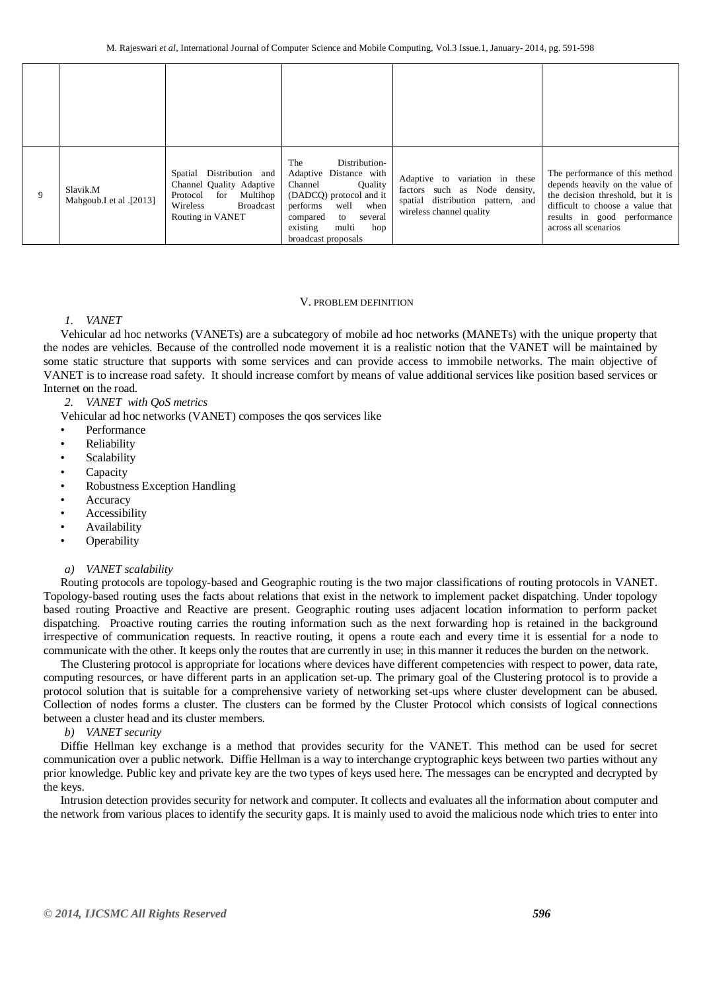| 9 | Slavik.M<br>Mahgoub.I et al .[2013] | Spatial Distribution and<br>Channel Quality Adaptive<br>Protocol for<br>Multihop<br><b>Broadcast</b><br>Wireless<br>Routing in VANET | Distribution-<br>The<br>Adaptive Distance with<br>Channel<br>Quality<br>(DADCQ) protocol and it<br>well<br>when<br>performs<br>several<br>compared<br>to<br>existing<br>multi<br>hop<br>broadcast proposals | Adaptive to variation in these<br>factors such as Node density,<br>spatial distribution pattern, and<br>wireless channel quality | The performance of this method<br>depends heavily on the value of<br>the decision threshold, but it is<br>difficult to choose a value that<br>results in good performance<br>across all scenarios |
|---|-------------------------------------|--------------------------------------------------------------------------------------------------------------------------------------|-------------------------------------------------------------------------------------------------------------------------------------------------------------------------------------------------------------|----------------------------------------------------------------------------------------------------------------------------------|---------------------------------------------------------------------------------------------------------------------------------------------------------------------------------------------------|

## V. PROBLEM DEFINITION

# *1. VANET*

Vehicular ad hoc networks (VANETs) are a subcategory of mobile ad hoc networks (MANETs) with the unique property that the nodes are vehicles. Because of the controlled node movement it is a realistic notion that the VANET will be maintained by some static structure that supports with some services and can provide access to immobile networks. The main objective of VANET is to increase road safety. It should increase comfort by means of value additional services like position based services or Internet on the road.

*2. VANET with QoS metrics*

Vehicular ad hoc networks (VANET) composes the qos services like

- Performance
- **Reliability**
- **Scalability**
- **Capacity**
- Robustness Exception Handling
- **Accuracy**
- **Accessibility**
- Availability
- **Operability**

## *a) VANET scalability*

Routing protocols are topology-based and Geographic routing is the two major classifications of routing protocols in VANET. Topology-based routing uses the facts about relations that exist in the network to implement packet dispatching. Under topology based routing Proactive and Reactive are present. Geographic routing uses adjacent location information to perform packet dispatching. Proactive routing carries the routing information such as the next forwarding hop is retained in the background irrespective of communication requests. In reactive routing, it opens a route each and every time it is essential for a node to communicate with the other. It keeps only the routes that are currently in use; in this manner it reduces the burden on the network.

The Clustering protocol is appropriate for locations where devices have different competencies with respect to power, data rate, computing resources, or have different parts in an application set-up. The primary goal of the Clustering protocol is to provide a protocol solution that is suitable for a comprehensive variety of networking set-ups where cluster development can be abused. Collection of nodes forms a cluster. The clusters can be formed by the Cluster Protocol which consists of logical connections between a cluster head and its cluster members.

*b) VANET security* 

Diffie Hellman key exchange is a method that provides security for the VANET. This method can be used for secret communication over a public network. Diffie Hellman is a way to interchange cryptographic keys between two parties without any prior knowledge. Public key and private key are the two types of keys used here. The messages can be encrypted and decrypted by the keys.

Intrusion detection provides security for network and computer. It collects and evaluates all the information about computer and the network from various places to identify the security gaps. It is mainly used to avoid the malicious node which tries to enter into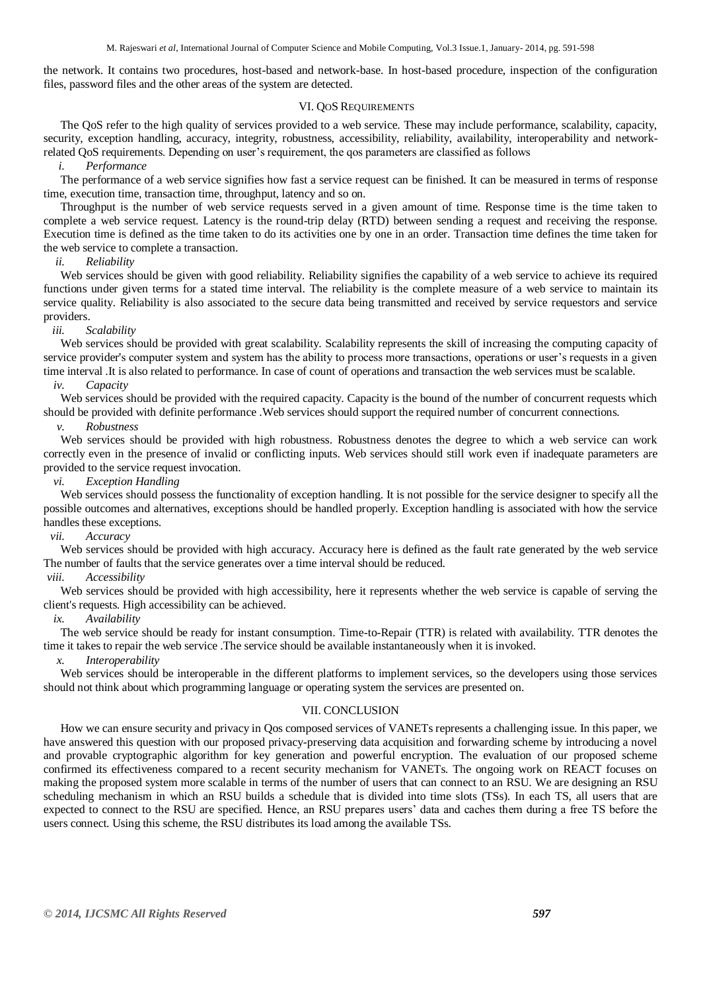the network. It contains two procedures, host-based and network-base. In host-based procedure, inspection of the configuration files, password files and the other areas of the system are detected.

#### VI. QOS REQUIREMENTS

The QoS refer to the high quality of services provided to a web service. These may include performance, scalability, capacity, security, exception handling, accuracy, integrity, robustness, accessibility, reliability, availability, interoperability and networkrelated QoS requirements. Depending on user's requirement, the qos parameters are classified as follows

## *i. Performance*

The performance of a web service signifies how fast a service request can be finished. It can be measured in terms of response time, execution time, transaction time, throughput, latency and so on.

Throughput is the number of web service requests served in a given amount of time. Response time is the time taken to complete a web service request. Latency is the round-trip delay (RTD) between sending a request and receiving the response. Execution time is defined as the time taken to do its activities one by one in an order. Transaction time defines the time taken for the web service to complete a transaction.

## *ii. Reliability*

Web services should be given with good reliability. Reliability signifies the capability of a web service to achieve its required functions under given terms for a stated time interval. The reliability is the complete measure of a web service to maintain its service quality. Reliability is also associated to the secure data being transmitted and received by service requestors and service providers.

#### *iii. Scalability*

Web services should be provided with great scalability. Scalability represents the skill of increasing the computing capacity of service provider's computer system and system has the ability to process more transactions, operations or user's requests in a given time interval .It is also related to performance. In case of count of operations and transaction the web services must be scalable.

## *iv. Capacity*

Web services should be provided with the required capacity. Capacity is the bound of the number of concurrent requests which should be provided with definite performance .Web services should support the required number of concurrent connections.

## *v. Robustness*

Web services should be provided with high robustness. Robustness denotes the degree to which a web service can work correctly even in the presence of invalid or conflicting inputs. Web services should still work even if inadequate parameters are provided to the service request invocation.

## *vi. Exception Handling*

Web services should possess the functionality of exception handling. It is not possible for the service designer to specify all the possible outcomes and alternatives, exceptions should be handled properly. Exception handling is associated with how the service handles these exceptions.

## *vii. Accuracy*

Web services should be provided with high accuracy. Accuracy here is defined as the fault rate generated by the web service The number of faults that the service generates over a time interval should be reduced.

## *viii. Accessibility*

Web services should be provided with high accessibility, here it represents whether the web service is capable of serving the client's requests. High accessibility can be achieved.

#### *ix. Availability*

The web service should be ready for instant consumption. Time-to-Repair (TTR) is related with availability. TTR denotes the time it takes to repair the web service .The service should be available instantaneously when it is invoked.

## *x. Interoperability*

Web services should be interoperable in the different platforms to implement services, so the developers using those services should not think about which programming language or operating system the services are presented on.

## VII. CONCLUSION

How we can ensure security and privacy in Qos composed services of VANETs represents a challenging issue. In this paper, we have answered this question with our proposed privacy-preserving data acquisition and forwarding scheme by introducing a novel and provable cryptographic algorithm for key generation and powerful encryption. The evaluation of our proposed scheme confirmed its effectiveness compared to a recent security mechanism for VANETs. The ongoing work on REACT focuses on making the proposed system more scalable in terms of the number of users that can connect to an RSU. We are designing an RSU scheduling mechanism in which an RSU builds a schedule that is divided into time slots (TSs). In each TS, all users that are expected to connect to the RSU are specified. Hence, an RSU prepares users' data and caches them during a free TS before the users connect. Using this scheme, the RSU distributes its load among the available TSs.